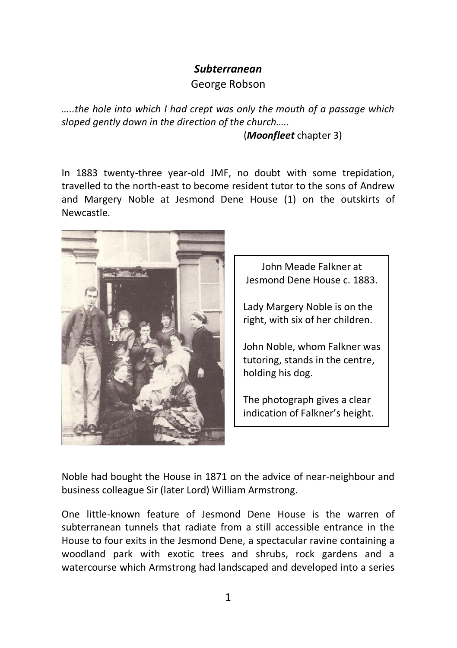## *Subterranean*

George Robson

*…..the hole into which I had crept was only the mouth of a passage which sloped gently down in the direction of the church…..* 

(*Moonfleet* chapter 3)

In 1883 twenty-three year-old JMF, no doubt with some trepidation, travelled to the north-east to become resident tutor to the sons of Andrew and Margery Noble at Jesmond Dene House (1) on the outskirts of Newcastle.



John Meade Falkner at Jesmond Dene House c. 1883.

Lady Margery Noble is on the right, with six of her children.

John Noble, whom Falkner was tutoring, stands in the centre, holding his dog.

The photograph gives a clear indication of Falkner's height.

Noble had bought the House in 1871 on the advice of near-neighbour and business colleague Sir (later Lord) William Armstrong.

One little-known feature of Jesmond Dene House is the warren of subterranean tunnels that radiate from a still accessible entrance in the House to four exits in the Jesmond Dene, a spectacular ravine containing a woodland park with exotic trees and shrubs, rock gardens and a watercourse which Armstrong had landscaped and developed into a series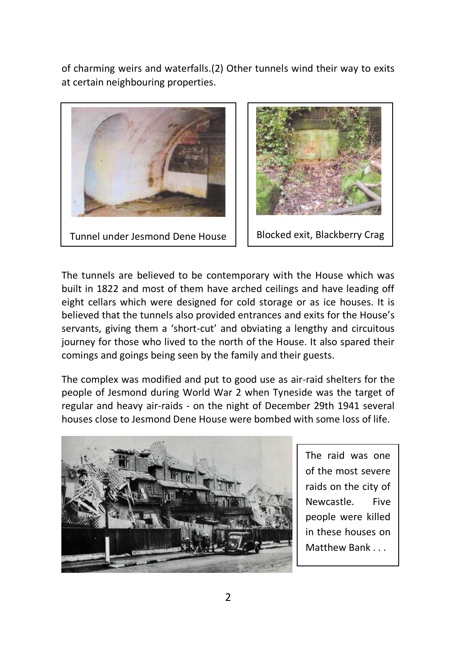of charming weirs and waterfalls.(2) Other tunnels wind their way to exits at certain neighbouring properties.





The tunnels are believed to be contemporary with the House which was built in 1822 and most of them have arched ceilings and have leading off eight cellars which were designed for cold storage or as ice houses. It is believed that the tunnels also provided entrances and exits for the House's servants, giving them a 'short-cut' and obviating a lengthy and circuitous journey for those who lived to the north of the House. It also spared their comings and goings being seen by the family and their guests.

The complex was modified and put to good use as air-raid shelters for the people of Jesmond during World War 2 when Tyneside was the target of regular and heavy air-raids - on the night of December 29th 1941 several houses close to Jesmond Dene House were bombed with some loss of life.



The raid was one of the most severe raids on the city of Newcastle. Five people were killed in these houses on Matthew Bank . . .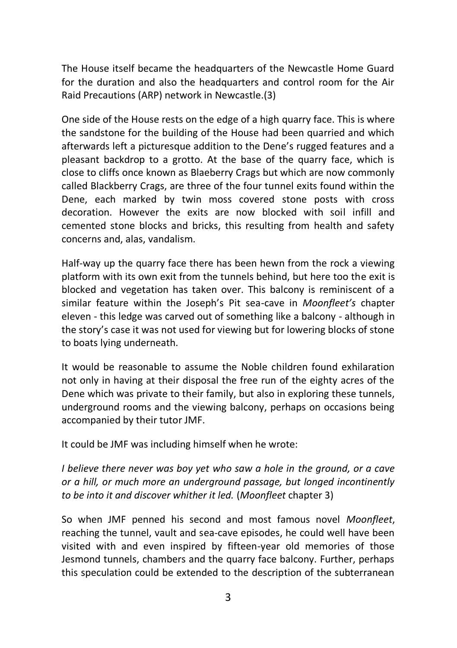The House itself became the headquarters of the Newcastle Home Guard for the duration and also the headquarters and control room for the Air Raid Precautions (ARP) network in Newcastle.(3)

One side of the House rests on the edge of a high quarry face. This is where the sandstone for the building of the House had been quarried and which afterwards left a picturesque addition to the Dene's rugged features and a pleasant backdrop to a grotto. At the base of the quarry face, which is close to cliffs once known as Blaeberry Crags but which are now commonly called Blackberry Crags, are three of the four tunnel exits found within the Dene, each marked by twin moss covered stone posts with cross decoration. However the exits are now blocked with soil infill and cemented stone blocks and bricks, this resulting from health and safety concerns and, alas, vandalism.

Half-way up the quarry face there has been hewn from the rock a viewing platform with its own exit from the tunnels behind, but here too the exit is blocked and vegetation has taken over. This balcony is reminiscent of a similar feature within the Joseph's Pit sea-cave in *Moonfleet's* chapter eleven - this ledge was carved out of something like a balcony - although in the story's case it was not used for viewing but for lowering blocks of stone to boats lying underneath.

It would be reasonable to assume the Noble children found exhilaration not only in having at their disposal the free run of the eighty acres of the Dene which was private to their family, but also in exploring these tunnels, underground rooms and the viewing balcony, perhaps on occasions being accompanied by their tutor JMF.

It could be JMF was including himself when he wrote:

*I believe there never was boy yet who saw a hole in the ground, or a cave or a hill, or much more an underground passage, but longed incontinently to be into it and discover whither it led.* (*Moonfleet* chapter 3)

So when JMF penned his second and most famous novel *Moonfleet*, reaching the tunnel, vault and sea-cave episodes, he could well have been visited with and even inspired by fifteen-year old memories of those Jesmond tunnels, chambers and the quarry face balcony. Further, perhaps this speculation could be extended to the description of the subterranean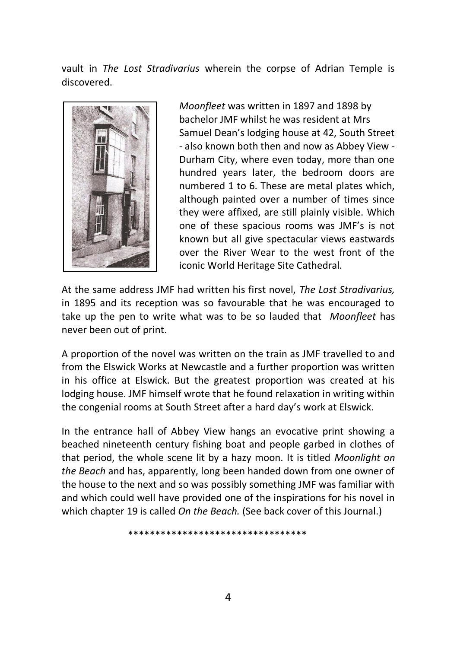vault in *The Lost Stradivarius* wherein the corpse of Adrian Temple is discovered.



*Moonfleet* was written in 1897 and 1898 by bachelor JMF whilst he was resident at Mrs Samuel Dean's lodging house at 42, South Street - also known both then and now as Abbey View - Durham City, where even today, more than one hundred years later, the bedroom doors are numbered 1 to 6. These are metal plates which, although painted over a number of times since they were affixed, are still plainly visible. Which one of these spacious rooms was JMF's is not known but all give spectacular views eastwards over the River Wear to the west front of the iconic World Heritage Site Cathedral.

At the same address JMF had written his first novel, *The Lost Stradivarius,* in 1895 and its reception was so favourable that he was encouraged to take up the pen to write what was to be so lauded that *Moonfleet* has never been out of print.

A proportion of the novel was written on the train as JMF travelled to and from the Elswick Works at Newcastle and a further proportion was written in his office at Elswick. But the greatest proportion was created at his lodging house. JMF himself wrote that he found relaxation in writing within the congenial rooms at South Street after a hard day's work at Elswick.

In the entrance hall of Abbey View hangs an evocative print showing a beached nineteenth century fishing boat and people garbed in clothes of that period, the whole scene lit by a hazy moon. It is titled *Moonlight on the Beach* and has, apparently, long been handed down from one owner of the house to the next and so was possibly something JMF was familiar with and which could well have provided one of the inspirations for his novel in which chapter 19 is called *On the Beach.* (See back cover of this Journal.)

\*\*\*\*\*\*\*\*\*\*\*\*\*\*\*\*\*\*\*\*\*\*\*\*\*\*\*\*\*\*\*\*\*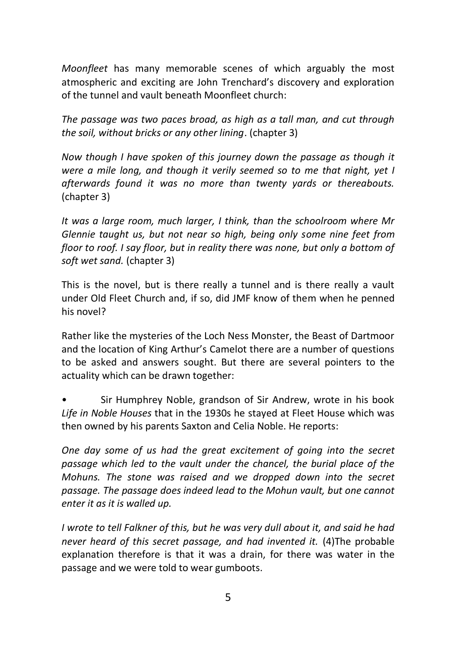*Moonfleet* has many memorable scenes of which arguably the most atmospheric and exciting are John Trenchard's discovery and exploration of the tunnel and vault beneath Moonfleet church:

*The passage was two paces broad, as high as a tall man, and cut through the soil, without bricks or any other lining*. (chapter 3)

*Now though I have spoken of this journey down the passage as though it were a mile long, and though it verily seemed so to me that night, yet I afterwards found it was no more than twenty yards or thereabouts.* (chapter 3)

*It was a large room, much larger, I think, than the schoolroom where Mr Glennie taught us, but not near so high, being only some nine feet from floor to roof. I say floor, but in reality there was none, but only a bottom of soft wet sand.* (chapter 3)

This is the novel, but is there really a tunnel and is there really a vault under Old Fleet Church and, if so, did JMF know of them when he penned his novel?

Rather like the mysteries of the Loch Ness Monster, the Beast of Dartmoor and the location of King Arthur's Camelot there are a number of questions to be asked and answers sought. But there are several pointers to the actuality which can be drawn together:

• Sir Humphrey Noble, grandson of Sir Andrew, wrote in his book *Life in Noble Houses* that in the 1930s he stayed at Fleet House which was then owned by his parents Saxton and Celia Noble. He reports:

*One day some of us had the great excitement of going into the secret passage which led to the vault under the chancel, the burial place of the Mohuns. The stone was raised and we dropped down into the secret passage. The passage does indeed lead to the Mohun vault, but one cannot enter it as it is walled up.*

*I wrote to tell Falkner of this, but he was very dull about it, and said he had never heard of this secret passage, and had invented it.* (4)The probable explanation therefore is that it was a drain, for there was water in the passage and we were told to wear gumboots.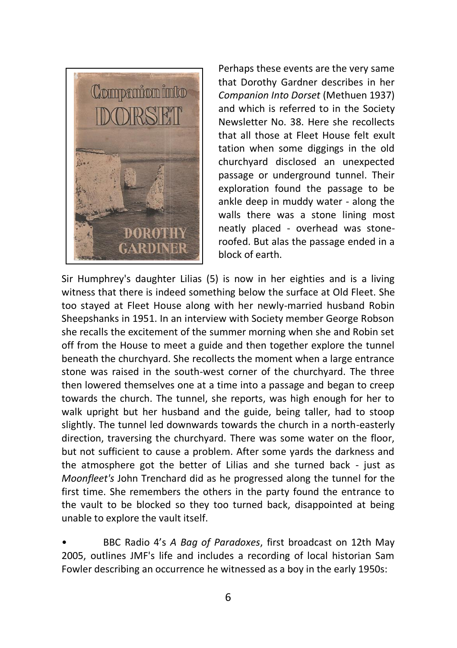

Perhaps these events are the very same that Dorothy Gardner describes in her *Companion Into Dorset* (Methuen 1937) and which is referred to in the Society Newsletter No. 38. Here she recollects that all those at Fleet House felt exult tation when some diggings in the old churchyard disclosed an unexpected passage or underground tunnel. Their exploration found the passage to be ankle deep in muddy water - along the walls there was a stone lining most neatly placed - overhead was stoneroofed. But alas the passage ended in a block of earth.

Sir Humphrey's daughter Lilias (5) is now in her eighties and is a living witness that there is indeed something below the surface at Old Fleet. She too stayed at Fleet House along with her newly-married husband Robin Sheepshanks in 1951. In an interview with Society member George Robson she recalls the excitement of the summer morning when she and Robin set off from the House to meet a guide and then together explore the tunnel beneath the churchyard. She recollects the moment when a large entrance stone was raised in the south-west corner of the churchyard. The three then lowered themselves one at a time into a passage and began to creep towards the church. The tunnel, she reports, was high enough for her to walk upright but her husband and the guide, being taller, had to stoop slightly. The tunnel led downwards towards the church in a north-easterly direction, traversing the churchyard. There was some water on the floor, but not sufficient to cause a problem. After some yards the darkness and the atmosphere got the better of Lilias and she turned back - just as *Moonfleet's* John Trenchard did as he progressed along the tunnel for the first time. She remembers the others in the party found the entrance to the vault to be blocked so they too turned back, disappointed at being unable to explore the vault itself.

• BBC Radio 4's *A Bag of Paradoxes*, first broadcast on 12th May 2005, outlines JMF's life and includes a recording of local historian Sam Fowler describing an occurrence he witnessed as a boy in the early 1950s: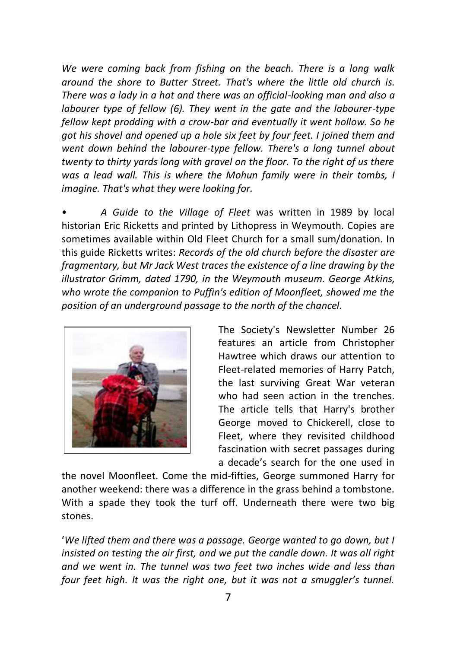*We were coming back from fishing on the beach. There is a long walk around the shore to Butter Street. That's where the little old church is. There was a lady in a hat and there was an official-looking man and also a labourer type of fellow (6). They went in the gate and the labourer-type fellow kept prodding with a crow-bar and eventually it went hollow. So he got his shovel and opened up a hole six feet by four feet. I joined them and went down behind the labourer-type fellow. There's a long tunnel about twenty to thirty yards long with gravel on the floor. To the right of us there was a lead wall. This is where the Mohun family were in their tombs, I imagine. That's what they were looking for.*

• *A Guide to the Village of Fleet* was written in 1989 by local historian Eric Ricketts and printed by Lithopress in Weymouth. Copies are sometimes available within Old Fleet Church for a small sum/donation. In this guide Ricketts writes: *Records of the old church before the disaster are fragmentary, but Mr Jack West traces the existence of a line drawing by the illustrator Grimm, dated 1790, in the Weymouth museum. George Atkins, who wrote the companion to Puffin's edition of Moonfleet, showed me the position of an underground passage to the north of the chancel.*



The Society's Newsletter Number 26 features an article from Christopher Hawtree which draws our attention to Fleet-related memories of Harry Patch, the last surviving Great War veteran who had seen action in the trenches. The article tells that Harry's brother George moved to Chickerell, close to Fleet, where they revisited childhood fascination with secret passages during a decade's search for the one used in

the novel Moonfleet. Come the mid-fifties, George summoned Harry for another weekend: there was a difference in the grass behind a tombstone. With a spade they took the turf off. Underneath there were two big stones.

'*We lifted them and there was a passage. George wanted to go down, but I insisted on testing the air first, and we put the candle down. It was all right and we went in. The tunnel was two feet two inches wide and less than four feet high. It was the right one, but it was not a smuggler's tunnel.*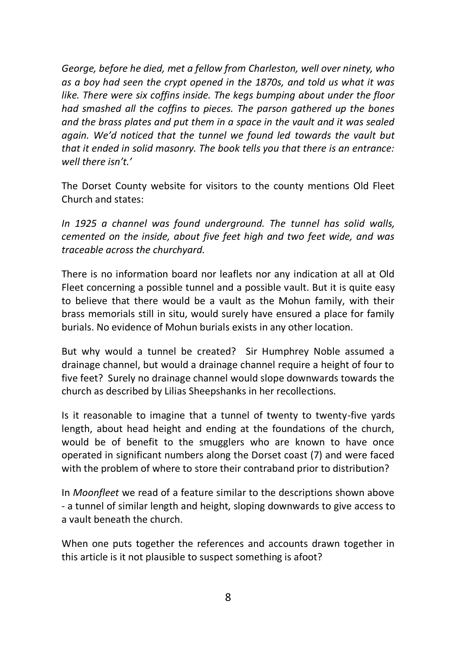*George, before he died, met a fellow from Charleston, well over ninety, who as a boy had seen the crypt opened in the 1870s, and told us what it was like. There were six coffins inside. The kegs bumping about under the floor had smashed all the coffins to pieces. The parson gathered up the bones and the brass plates and put them in a space in the vault and it was sealed again. We'd noticed that the tunnel we found led towards the vault but that it ended in solid masonry. The book tells you that there is an entrance: well there isn't.'*

The Dorset County website for visitors to the county mentions Old Fleet Church and states:

*In 1925 a channel was found underground. The tunnel has solid walls, cemented on the inside, about five feet high and two feet wide, and was traceable across the churchyard.*

There is no information board nor leaflets nor any indication at all at Old Fleet concerning a possible tunnel and a possible vault. But it is quite easy to believe that there would be a vault as the Mohun family, with their brass memorials still in situ, would surely have ensured a place for family burials. No evidence of Mohun burials exists in any other location.

But why would a tunnel be created? Sir Humphrey Noble assumed a drainage channel, but would a drainage channel require a height of four to five feet? Surely no drainage channel would slope downwards towards the church as described by Lilias Sheepshanks in her recollections.

Is it reasonable to imagine that a tunnel of twenty to twenty-five yards length, about head height and ending at the foundations of the church, would be of benefit to the smugglers who are known to have once operated in significant numbers along the Dorset coast (7) and were faced with the problem of where to store their contraband prior to distribution?

In *Moonfleet* we read of a feature similar to the descriptions shown above - a tunnel of similar length and height, sloping downwards to give access to a vault beneath the church.

When one puts together the references and accounts drawn together in this article is it not plausible to suspect something is afoot?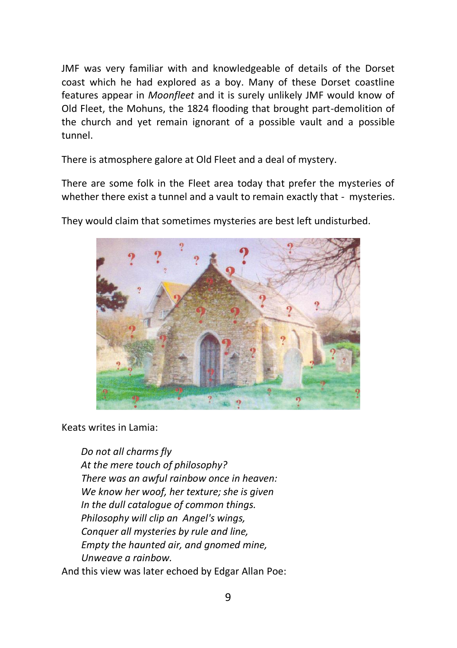JMF was very familiar with and knowledgeable of details of the Dorset coast which he had explored as a boy. Many of these Dorset coastline features appear in *Moonfleet* and it is surely unlikely JMF would know of Old Fleet, the Mohuns, the 1824 flooding that brought part-demolition of the church and yet remain ignorant of a possible vault and a possible tunnel.

There is atmosphere galore at Old Fleet and a deal of mystery.

There are some folk in the Fleet area today that prefer the mysteries of whether there exist a tunnel and a vault to remain exactly that - mysteries.



They would claim that sometimes mysteries are best left undisturbed.

Keats writes in Lamia:

 *Do not all charms fly At the mere touch of philosophy? There was an awful rainbow once in heaven: We know her woof, her texture; she is given In the dull catalogue of common things. Philosophy will clip an Angel's wings, Conquer all mysteries by rule and line, Empty the haunted air, and gnomed mine, Unweave a rainbow.*

And this view was later echoed by Edgar Allan Poe: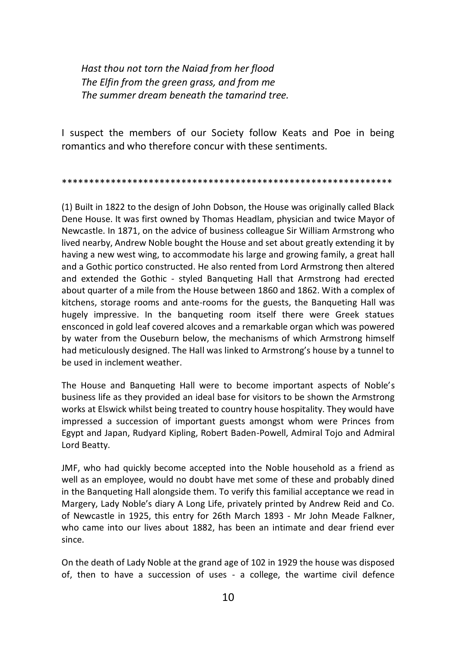*Hast thou not torn the Naiad from her flood The Elfin from the green grass, and from me The summer dream beneath the tamarind tree.*

I suspect the members of our Society follow Keats and Poe in being romantics and who therefore concur with these sentiments.

\*\*\*\*\*\*\*\*\*\*\*\*\*\*\*\*\*\*\*\*\*\*\*\*\*\*\*\*\*\*\*\*\*\*\*\*\*\*\*\*\*\*\*\*\*\*\*\*\*\*\*\*\*\*\*\*\*\*\*\*\*

(1) Built in 1822 to the design of John Dobson, the House was originally called Black Dene House. It was first owned by Thomas Headlam, physician and twice Mayor of Newcastle. In 1871, on the advice of business colleague Sir William Armstrong who lived nearby, Andrew Noble bought the House and set about greatly extending it by having a new west wing, to accommodate his large and growing family, a great hall and a Gothic portico constructed. He also rented from Lord Armstrong then altered and extended the Gothic - styled Banqueting Hall that Armstrong had erected about quarter of a mile from the House between 1860 and 1862. With a complex of kitchens, storage rooms and ante-rooms for the guests, the Banqueting Hall was hugely impressive. In the banqueting room itself there were Greek statues ensconced in gold leaf covered alcoves and a remarkable organ which was powered by water from the Ouseburn below, the mechanisms of which Armstrong himself had meticulously designed. The Hall was linked to Armstrong's house by a tunnel to be used in inclement weather.

The House and Banqueting Hall were to become important aspects of Noble's business life as they provided an ideal base for visitors to be shown the Armstrong works at Elswick whilst being treated to country house hospitality. They would have impressed a succession of important guests amongst whom were Princes from Egypt and Japan, Rudyard Kipling, Robert Baden-Powell, Admiral Tojo and Admiral Lord Beatty.

JMF, who had quickly become accepted into the Noble household as a friend as well as an employee, would no doubt have met some of these and probably dined in the Banqueting Hall alongside them. To verify this familial acceptance we read in Margery, Lady Noble's diary A Long Life, privately printed by Andrew Reid and Co. of Newcastle in 1925, this entry for 26th March 1893 - Mr John Meade Falkner, who came into our lives about 1882, has been an intimate and dear friend ever since.

On the death of Lady Noble at the grand age of 102 in 1929 the house was disposed of, then to have a succession of uses - a college, the wartime civil defence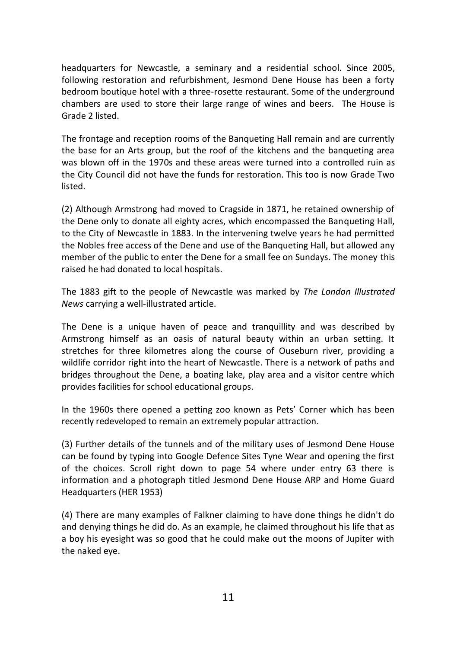headquarters for Newcastle, a seminary and a residential school. Since 2005, following restoration and refurbishment, Jesmond Dene House has been a forty bedroom boutique hotel with a three-rosette restaurant. Some of the underground chambers are used to store their large range of wines and beers. The House is Grade 2 listed.

The frontage and reception rooms of the Banqueting Hall remain and are currently the base for an Arts group, but the roof of the kitchens and the banqueting area was blown off in the 1970s and these areas were turned into a controlled ruin as the City Council did not have the funds for restoration. This too is now Grade Two listed.

(2) Although Armstrong had moved to Cragside in 1871, he retained ownership of the Dene only to donate all eighty acres, which encompassed the Banqueting Hall, to the City of Newcastle in 1883. In the intervening twelve years he had permitted the Nobles free access of the Dene and use of the Banqueting Hall, but allowed any member of the public to enter the Dene for a small fee on Sundays. The money this raised he had donated to local hospitals.

The 1883 gift to the people of Newcastle was marked by *The London Illustrated News* carrying a well-illustrated article.

The Dene is a unique haven of peace and tranquillity and was described by Armstrong himself as an oasis of natural beauty within an urban setting. It stretches for three kilometres along the course of Ouseburn river, providing a wildlife corridor right into the heart of Newcastle. There is a network of paths and bridges throughout the Dene, a boating lake, play area and a visitor centre which provides facilities for school educational groups.

In the 1960s there opened a petting zoo known as Pets' Corner which has been recently redeveloped to remain an extremely popular attraction.

(3) Further details of the tunnels and of the military uses of Jesmond Dene House can be found by typing into Google Defence Sites Tyne Wear and opening the first of the choices. Scroll right down to page 54 where under entry 63 there is information and a photograph titled Jesmond Dene House ARP and Home Guard Headquarters (HER 1953)

(4) There are many examples of Falkner claiming to have done things he didn't do and denying things he did do. As an example, he claimed throughout his life that as a boy his eyesight was so good that he could make out the moons of Jupiter with the naked eye.